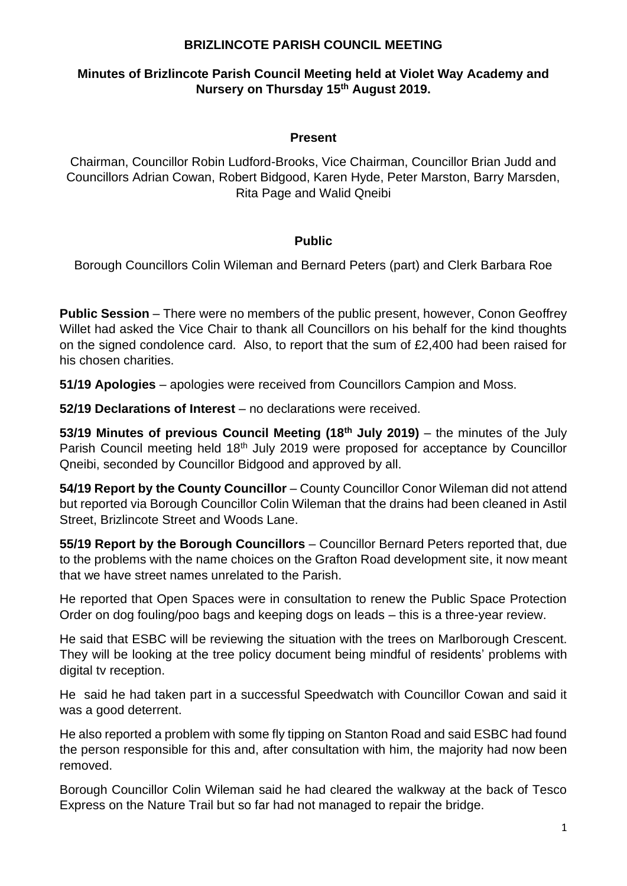# **Minutes of Brizlincote Parish Council Meeting held at Violet Way Academy and Nursery on Thursday 15th August 2019.**

### **Present**

Chairman, Councillor Robin Ludford-Brooks, Vice Chairman, Councillor Brian Judd and Councillors Adrian Cowan, Robert Bidgood, Karen Hyde, Peter Marston, Barry Marsden, Rita Page and Walid Qneibi

#### **Public**

Borough Councillors Colin Wileman and Bernard Peters (part) and Clerk Barbara Roe

**Public Session** – There were no members of the public present, however, Conon Geoffrey Willet had asked the Vice Chair to thank all Councillors on his behalf for the kind thoughts on the signed condolence card. Also, to report that the sum of £2,400 had been raised for his chosen charities.

**51/19 Apologies** – apologies were received from Councillors Campion and Moss.

**52/19 Declarations of Interest** – no declarations were received.

**53/19 Minutes of previous Council Meeting (18th July 2019)** – the minutes of the July Parish Council meeting held 18<sup>th</sup> July 2019 were proposed for acceptance by Councillor Qneibi, seconded by Councillor Bidgood and approved by all.

**54/19 Report by the County Councillor** – County Councillor Conor Wileman did not attend but reported via Borough Councillor Colin Wileman that the drains had been cleaned in Astil Street, Brizlincote Street and Woods Lane.

**55/19 Report by the Borough Councillors** – Councillor Bernard Peters reported that, due to the problems with the name choices on the Grafton Road development site, it now meant that we have street names unrelated to the Parish.

He reported that Open Spaces were in consultation to renew the Public Space Protection Order on dog fouling/poo bags and keeping dogs on leads – this is a three-year review.

He said that ESBC will be reviewing the situation with the trees on Marlborough Crescent. They will be looking at the tree policy document being mindful of residents' problems with digital tv reception.

He said he had taken part in a successful Speedwatch with Councillor Cowan and said it was a good deterrent.

He also reported a problem with some fly tipping on Stanton Road and said ESBC had found the person responsible for this and, after consultation with him, the majority had now been removed.

Borough Councillor Colin Wileman said he had cleared the walkway at the back of Tesco Express on the Nature Trail but so far had not managed to repair the bridge.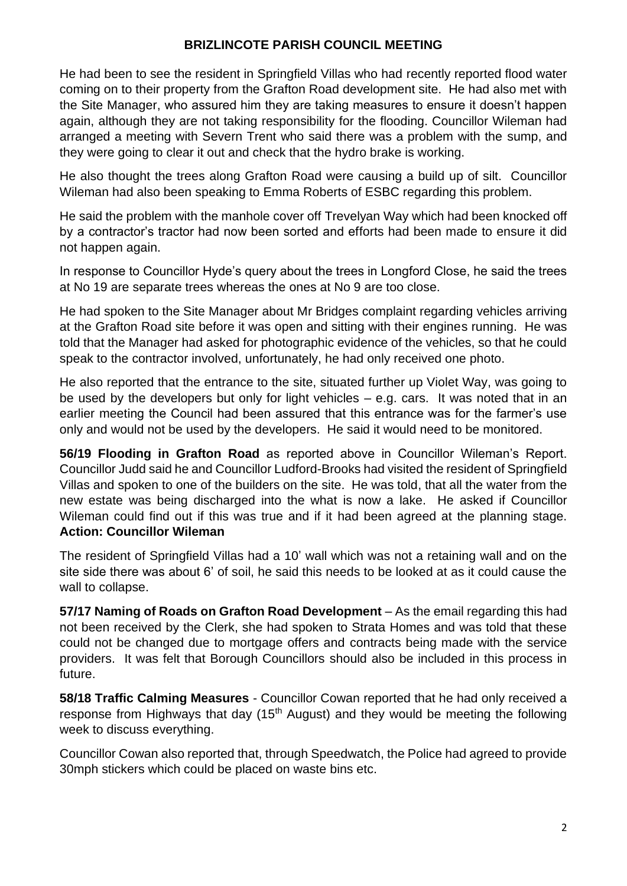He had been to see the resident in Springfield Villas who had recently reported flood water coming on to their property from the Grafton Road development site. He had also met with the Site Manager, who assured him they are taking measures to ensure it doesn't happen again, although they are not taking responsibility for the flooding. Councillor Wileman had arranged a meeting with Severn Trent who said there was a problem with the sump, and they were going to clear it out and check that the hydro brake is working.

He also thought the trees along Grafton Road were causing a build up of silt. Councillor Wileman had also been speaking to Emma Roberts of ESBC regarding this problem.

He said the problem with the manhole cover off Trevelyan Way which had been knocked off by a contractor's tractor had now been sorted and efforts had been made to ensure it did not happen again.

In response to Councillor Hyde's query about the trees in Longford Close, he said the trees at No 19 are separate trees whereas the ones at No 9 are too close.

He had spoken to the Site Manager about Mr Bridges complaint regarding vehicles arriving at the Grafton Road site before it was open and sitting with their engines running. He was told that the Manager had asked for photographic evidence of the vehicles, so that he could speak to the contractor involved, unfortunately, he had only received one photo.

He also reported that the entrance to the site, situated further up Violet Way, was going to be used by the developers but only for light vehicles – e.g. cars. It was noted that in an earlier meeting the Council had been assured that this entrance was for the farmer's use only and would not be used by the developers. He said it would need to be monitored.

**56/19 Flooding in Grafton Road** as reported above in Councillor Wileman's Report. Councillor Judd said he and Councillor Ludford-Brooks had visited the resident of Springfield Villas and spoken to one of the builders on the site. He was told, that all the water from the new estate was being discharged into the what is now a lake. He asked if Councillor Wileman could find out if this was true and if it had been agreed at the planning stage. **Action: Councillor Wileman**

The resident of Springfield Villas had a 10' wall which was not a retaining wall and on the site side there was about 6' of soil, he said this needs to be looked at as it could cause the wall to collapse.

**57/17 Naming of Roads on Grafton Road Development** – As the email regarding this had not been received by the Clerk, she had spoken to Strata Homes and was told that these could not be changed due to mortgage offers and contracts being made with the service providers. It was felt that Borough Councillors should also be included in this process in future.

**58/18 Traffic Calming Measures** - Councillor Cowan reported that he had only received a response from Highways that day (15<sup>th</sup> August) and they would be meeting the following week to discuss everything.

Councillor Cowan also reported that, through Speedwatch, the Police had agreed to provide 30mph stickers which could be placed on waste bins etc.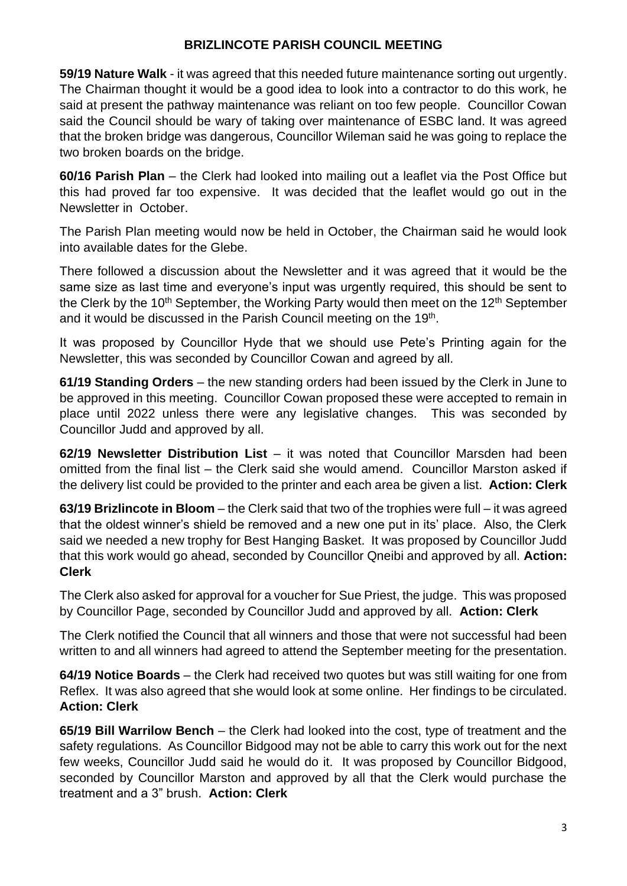**59/19 Nature Walk** - it was agreed that this needed future maintenance sorting out urgently. The Chairman thought it would be a good idea to look into a contractor to do this work, he said at present the pathway maintenance was reliant on too few people. Councillor Cowan said the Council should be wary of taking over maintenance of ESBC land. It was agreed that the broken bridge was dangerous, Councillor Wileman said he was going to replace the two broken boards on the bridge.

**60/16 Parish Plan** – the Clerk had looked into mailing out a leaflet via the Post Office but this had proved far too expensive. It was decided that the leaflet would go out in the Newsletter in October.

The Parish Plan meeting would now be held in October, the Chairman said he would look into available dates for the Glebe.

There followed a discussion about the Newsletter and it was agreed that it would be the same size as last time and everyone's input was urgently required, this should be sent to the Clerk by the  $10<sup>th</sup>$  September, the Working Party would then meet on the  $12<sup>th</sup>$  September and it would be discussed in the Parish Council meeting on the 19<sup>th</sup>.

It was proposed by Councillor Hyde that we should use Pete's Printing again for the Newsletter, this was seconded by Councillor Cowan and agreed by all.

**61/19 Standing Orders** – the new standing orders had been issued by the Clerk in June to be approved in this meeting. Councillor Cowan proposed these were accepted to remain in place until 2022 unless there were any legislative changes. This was seconded by Councillor Judd and approved by all.

**62/19 Newsletter Distribution List** – it was noted that Councillor Marsden had been omitted from the final list – the Clerk said she would amend. Councillor Marston asked if the delivery list could be provided to the printer and each area be given a list. **Action: Clerk**

**63/19 Brizlincote in Bloom** – the Clerk said that two of the trophies were full – it was agreed that the oldest winner's shield be removed and a new one put in its' place. Also, the Clerk said we needed a new trophy for Best Hanging Basket. It was proposed by Councillor Judd that this work would go ahead, seconded by Councillor Qneibi and approved by all. **Action: Clerk**

The Clerk also asked for approval for a voucher for Sue Priest, the judge. This was proposed by Councillor Page, seconded by Councillor Judd and approved by all. **Action: Clerk**

The Clerk notified the Council that all winners and those that were not successful had been written to and all winners had agreed to attend the September meeting for the presentation.

**64/19 Notice Boards** – the Clerk had received two quotes but was still waiting for one from Reflex. It was also agreed that she would look at some online. Her findings to be circulated. **Action: Clerk**

**65/19 Bill Warrilow Bench** – the Clerk had looked into the cost, type of treatment and the safety regulations. As Councillor Bidgood may not be able to carry this work out for the next few weeks, Councillor Judd said he would do it. It was proposed by Councillor Bidgood, seconded by Councillor Marston and approved by all that the Clerk would purchase the treatment and a 3" brush. **Action: Clerk**